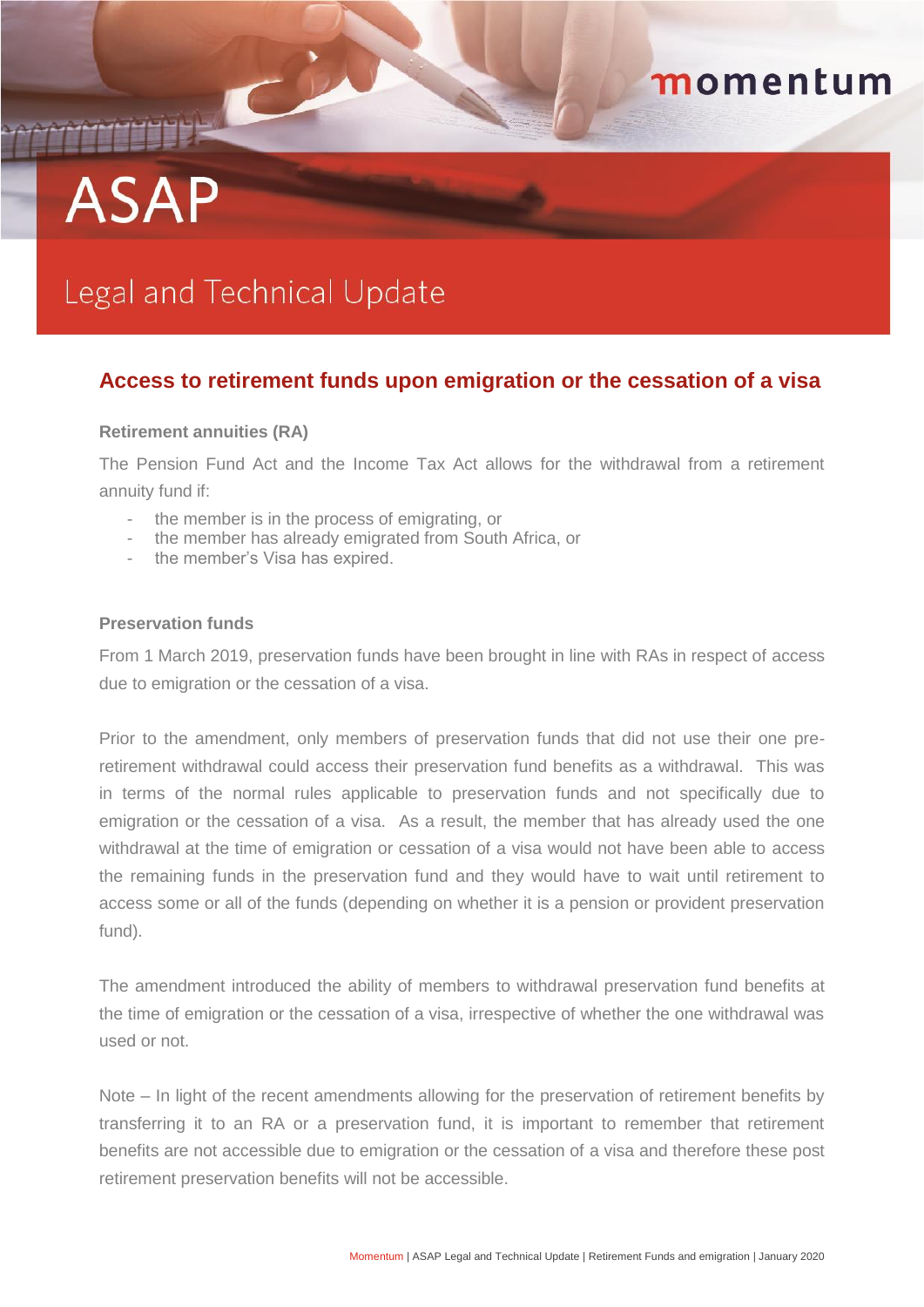# **ASAP**

## Legal and Technical Update

### **Access to retirement funds upon emigration or the cessation of a visa**

momentum

#### **Retirement annuities (RA)**

The Pension Fund Act and the Income Tax Act allows for the withdrawal from a retirement annuity fund if:

- the member is in the process of emigrating, or
- the member has already emigrated from South Africa, or
- the member's Visa has expired.

#### **Preservation funds**

From 1 March 2019, preservation funds have been brought in line with RAs in respect of access due to emigration or the cessation of a visa.

Prior to the amendment, only members of preservation funds that did not use their one preretirement withdrawal could access their preservation fund benefits as a withdrawal. This was in terms of the normal rules applicable to preservation funds and not specifically due to emigration or the cessation of a visa. As a result, the member that has already used the one withdrawal at the time of emigration or cessation of a visa would not have been able to access the remaining funds in the preservation fund and they would have to wait until retirement to access some or all of the funds (depending on whether it is a pension or provident preservation fund).

The amendment introduced the ability of members to withdrawal preservation fund benefits at the time of emigration or the cessation of a visa, irrespective of whether the one withdrawal was used or not.

Note – In light of the recent amendments allowing for the preservation of retirement benefits by transferring it to an RA or a preservation fund, it is important to remember that retirement benefits are not accessible due to emigration or the cessation of a visa and therefore these post retirement preservation benefits will not be accessible.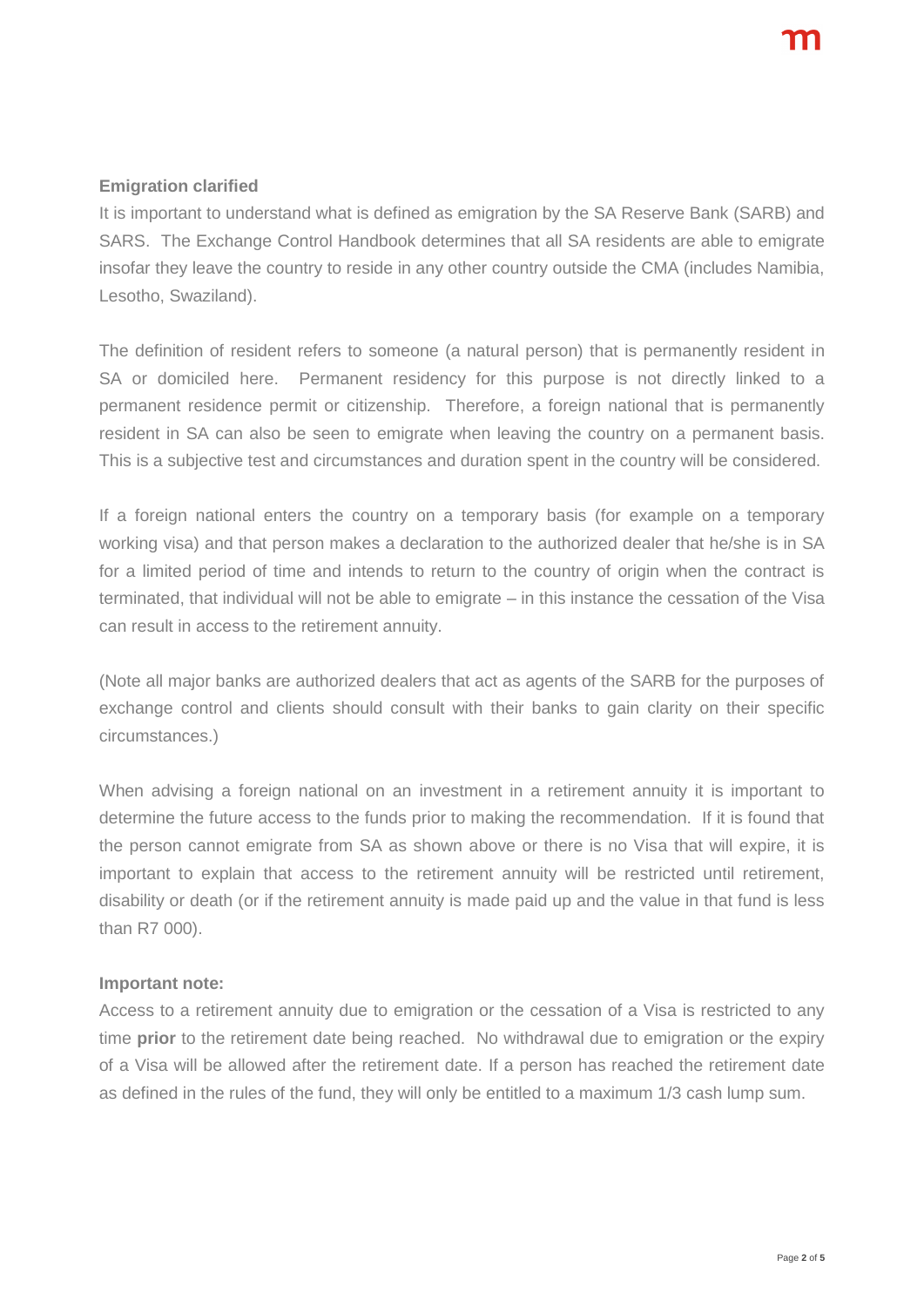#### **Emigration clarified**

It is important to understand what is defined as emigration by the SA Reserve Bank (SARB) and SARS. The Exchange Control Handbook determines that all SA residents are able to emigrate insofar they leave the country to reside in any other country outside the CMA (includes Namibia, Lesotho, Swaziland).

The definition of resident refers to someone (a natural person) that is permanently resident in SA or domiciled here. Permanent residency for this purpose is not directly linked to a permanent residence permit or citizenship. Therefore, a foreign national that is permanently resident in SA can also be seen to emigrate when leaving the country on a permanent basis. This is a subjective test and circumstances and duration spent in the country will be considered.

If a foreign national enters the country on a temporary basis (for example on a temporary working visa) and that person makes a declaration to the authorized dealer that he/she is in SA for a limited period of time and intends to return to the country of origin when the contract is terminated, that individual will not be able to emigrate – in this instance the cessation of the Visa can result in access to the retirement annuity.

(Note all major banks are authorized dealers that act as agents of the SARB for the purposes of exchange control and clients should consult with their banks to gain clarity on their specific circumstances.)

When advising a foreign national on an investment in a retirement annuity it is important to determine the future access to the funds prior to making the recommendation. If it is found that the person cannot emigrate from SA as shown above or there is no Visa that will expire, it is important to explain that access to the retirement annuity will be restricted until retirement, disability or death (or if the retirement annuity is made paid up and the value in that fund is less than R7 000).

#### **Important note:**

Access to a retirement annuity due to emigration or the cessation of a Visa is restricted to any time **prior** to the retirement date being reached. No withdrawal due to emigration or the expiry of a Visa will be allowed after the retirement date. If a person has reached the retirement date as defined in the rules of the fund, they will only be entitled to a maximum 1/3 cash lump sum.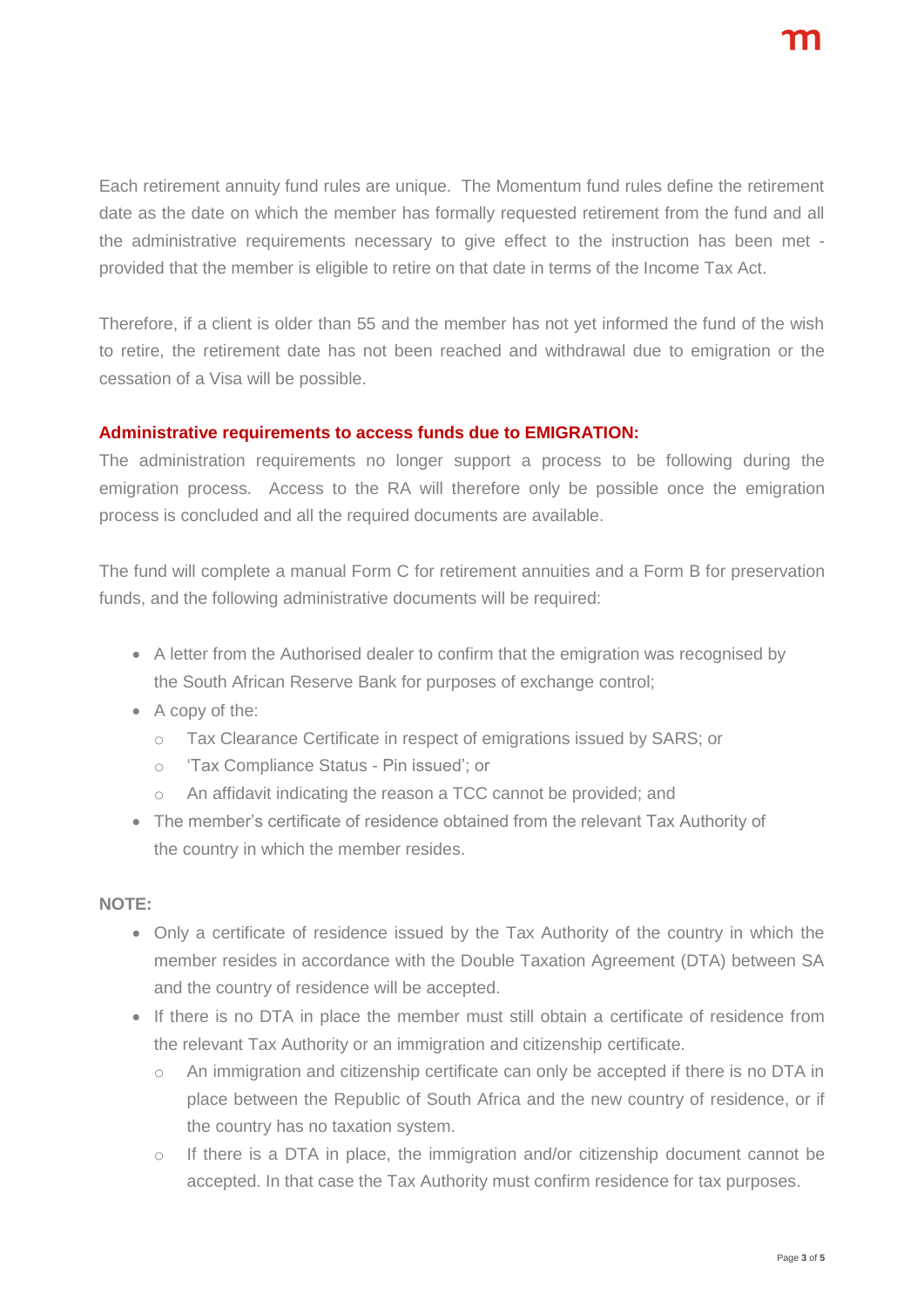Each retirement annuity fund rules are unique. The Momentum fund rules define the retirement date as the date on which the member has formally requested retirement from the fund and all the administrative requirements necessary to give effect to the instruction has been met provided that the member is eligible to retire on that date in terms of the Income Tax Act.

Therefore, if a client is older than 55 and the member has not yet informed the fund of the wish to retire, the retirement date has not been reached and withdrawal due to emigration or the cessation of a Visa will be possible.

#### **Administrative requirements to access funds due to EMIGRATION:**

The administration requirements no longer support a process to be following during the emigration process. Access to the RA will therefore only be possible once the emigration process is concluded and all the required documents are available.

The fund will complete a manual Form C for retirement annuities and a Form B for preservation funds, and the following administrative documents will be required:

- A letter from the Authorised dealer to confirm that the emigration was recognised by the South African Reserve Bank for purposes of exchange control;
- A copy of the:
	- o Tax Clearance Certificate in respect of emigrations issued by SARS; or
	- o 'Tax Compliance Status Pin issued'; or
	- o An affidavit indicating the reason a TCC cannot be provided; and
- The member's certificate of residence obtained from the relevant Tax Authority of the country in which the member resides.

#### **NOTE:**

- Only a certificate of residence issued by the Tax Authority of the country in which the member resides in accordance with the Double Taxation Agreement (DTA) between SA and the country of residence will be accepted.
- If there is no DTA in place the member must still obtain a certificate of residence from the relevant Tax Authority or an immigration and citizenship certificate.
	- o An immigration and citizenship certificate can only be accepted if there is no DTA in place between the Republic of South Africa and the new country of residence, or if the country has no taxation system.
	- $\circ$  If there is a DTA in place, the immigration and/or citizenship document cannot be accepted. In that case the Tax Authority must confirm residence for tax purposes.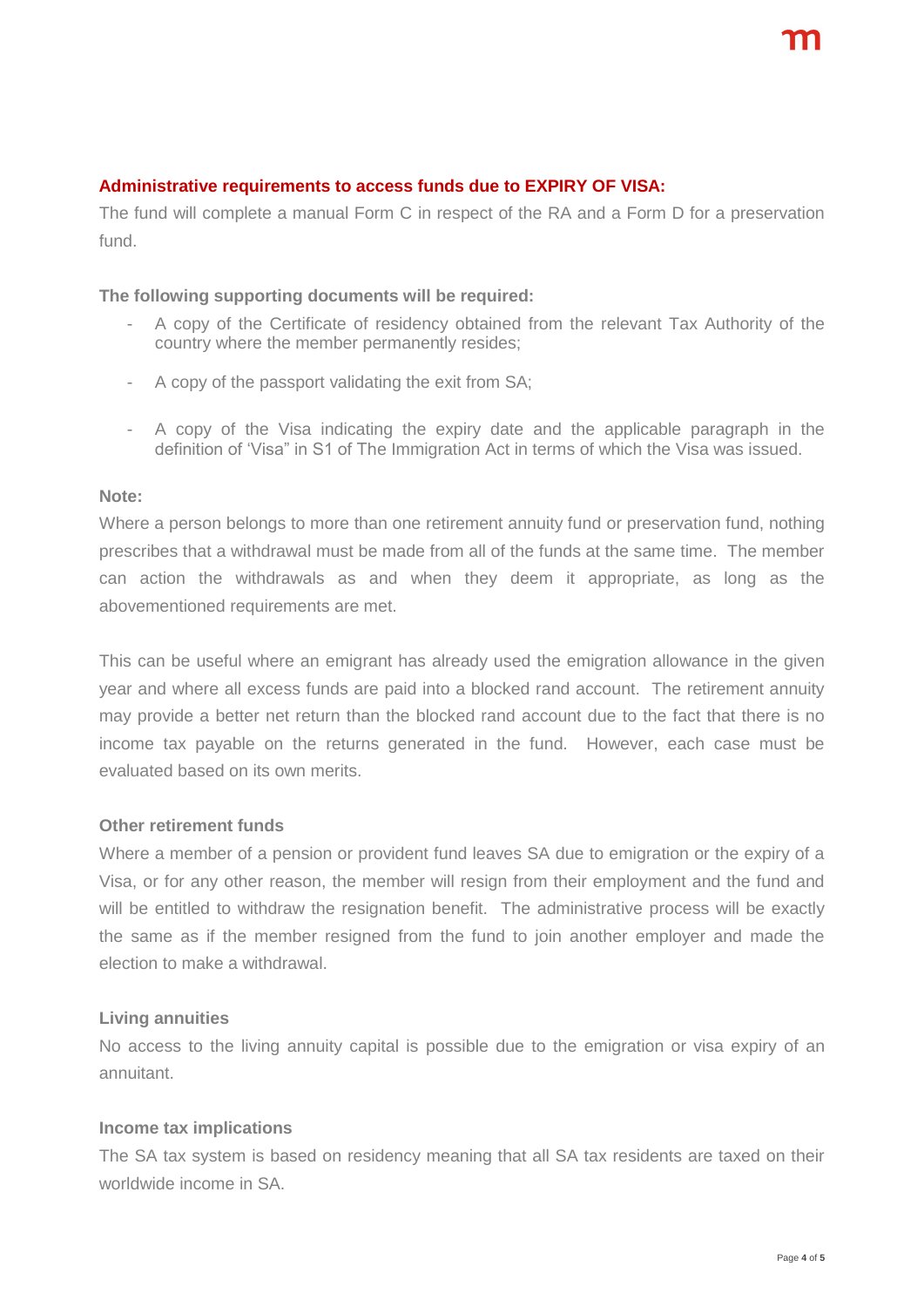#### **Administrative requirements to access funds due to EXPIRY OF VISA:**

The fund will complete a manual Form C in respect of the RA and a Form D for a preservation fund.

#### **The following supporting documents will be required:**

- A copy of the Certificate of residency obtained from the relevant Tax Authority of the country where the member permanently resides;
- A copy of the passport validating the exit from SA;
- A copy of the Visa indicating the expiry date and the applicable paragraph in the definition of 'Visa" in S1 of The Immigration Act in terms of which the Visa was issued.

#### **Note:**

Where a person belongs to more than one retirement annuity fund or preservation fund, nothing prescribes that a withdrawal must be made from all of the funds at the same time. The member can action the withdrawals as and when they deem it appropriate, as long as the abovementioned requirements are met.

This can be useful where an emigrant has already used the emigration allowance in the given year and where all excess funds are paid into a blocked rand account. The retirement annuity may provide a better net return than the blocked rand account due to the fact that there is no income tax payable on the returns generated in the fund. However, each case must be evaluated based on its own merits.

#### **Other retirement funds**

Where a member of a pension or provident fund leaves SA due to emigration or the expiry of a Visa, or for any other reason, the member will resign from their employment and the fund and will be entitled to withdraw the resignation benefit. The administrative process will be exactly the same as if the member resigned from the fund to join another employer and made the election to make a withdrawal.

#### **Living annuities**

No access to the living annuity capital is possible due to the emigration or visa expiry of an annuitant.

#### **Income tax implications**

The SA tax system is based on residency meaning that all SA tax residents are taxed on their worldwide income in SA.